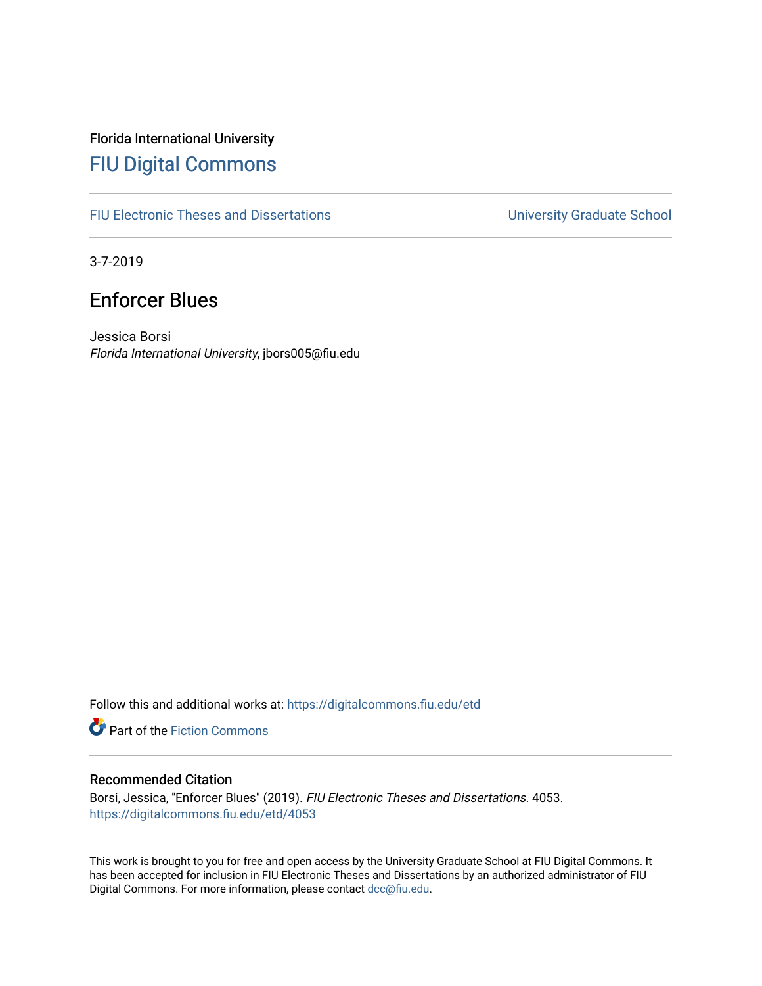# Florida International University [FIU Digital Commons](https://digitalcommons.fiu.edu/)

[FIU Electronic Theses and Dissertations](https://digitalcommons.fiu.edu/etd) **EXECUTE:** University Graduate School

3-7-2019

# Enforcer Blues

Jessica Borsi Florida International University, jbors005@fiu.edu

Follow this and additional works at: [https://digitalcommons.fiu.edu/etd](https://digitalcommons.fiu.edu/etd?utm_source=digitalcommons.fiu.edu%2Fetd%2F4053&utm_medium=PDF&utm_campaign=PDFCoverPages)

Part of the [Fiction Commons](http://network.bepress.com/hgg/discipline/1151?utm_source=digitalcommons.fiu.edu%2Fetd%2F4053&utm_medium=PDF&utm_campaign=PDFCoverPages) 

### Recommended Citation

Borsi, Jessica, "Enforcer Blues" (2019). FIU Electronic Theses and Dissertations. 4053. [https://digitalcommons.fiu.edu/etd/4053](https://digitalcommons.fiu.edu/etd/4053?utm_source=digitalcommons.fiu.edu%2Fetd%2F4053&utm_medium=PDF&utm_campaign=PDFCoverPages) 

This work is brought to you for free and open access by the University Graduate School at FIU Digital Commons. It has been accepted for inclusion in FIU Electronic Theses and Dissertations by an authorized administrator of FIU Digital Commons. For more information, please contact [dcc@fiu.edu](mailto:dcc@fiu.edu).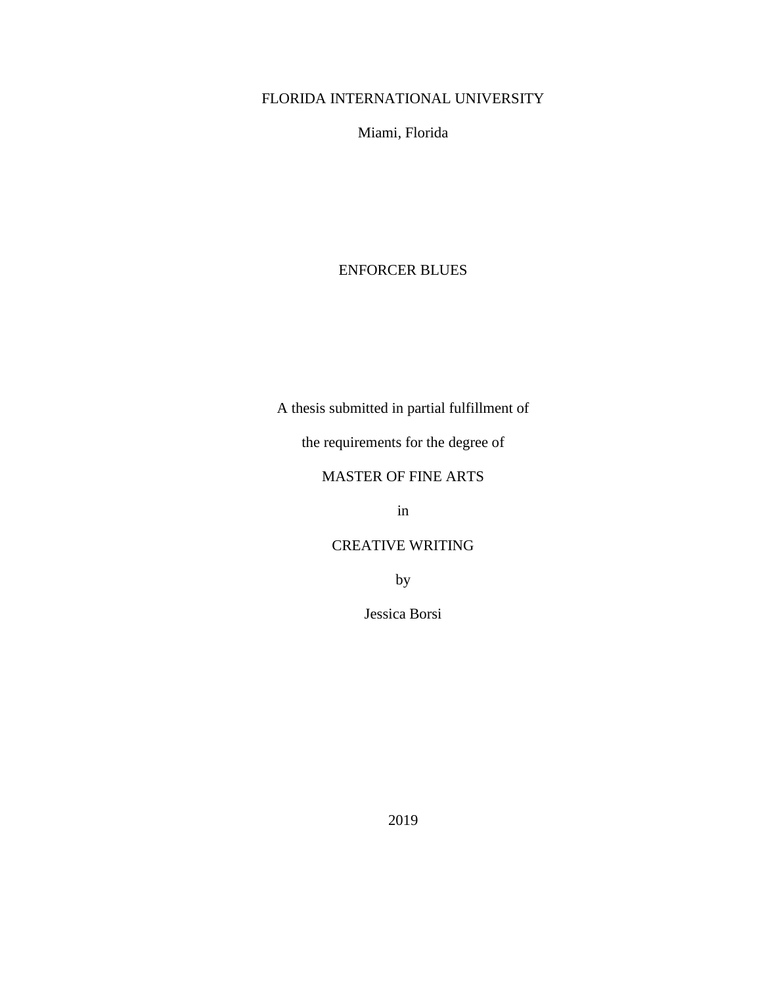# FLORIDA INTERNATIONAL UNIVERSITY

Miami, Florida

## ENFORCER BLUES

A thesis submitted in partial fulfillment of

the requirements for the degree of

## MASTER OF FINE ARTS

in

## CREATIVE WRITING

by

Jessica Borsi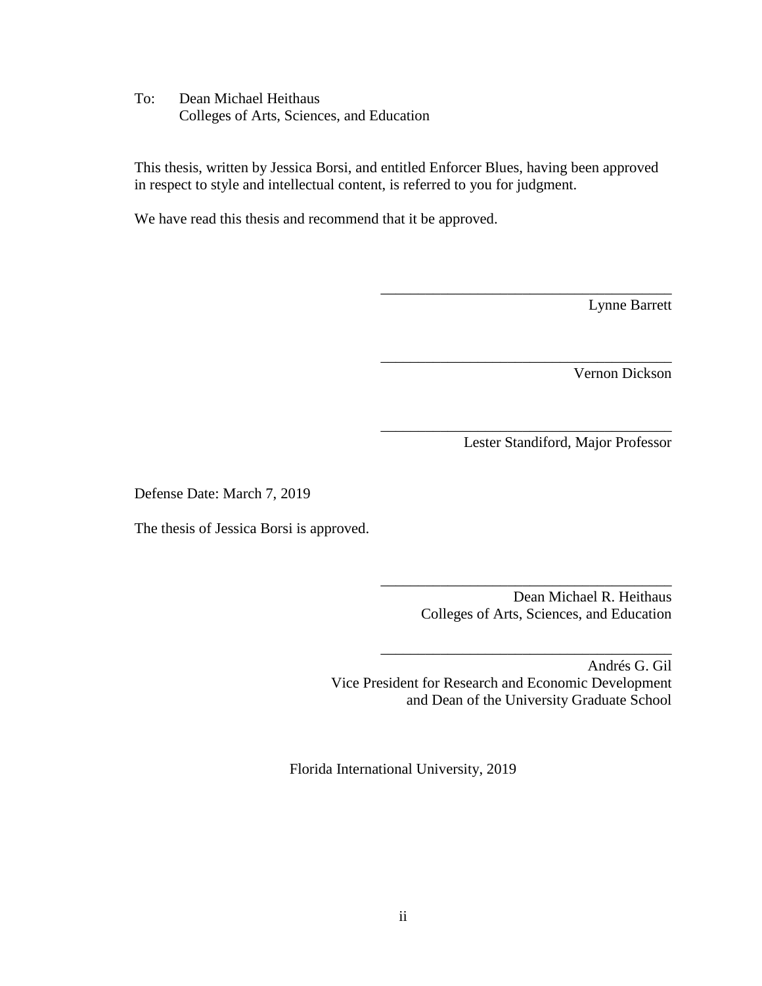To: Dean Michael Heithaus Colleges of Arts, Sciences, and Education

This thesis, written by Jessica Borsi, and entitled Enforcer Blues, having been approved in respect to style and intellectual content, is referred to you for judgment.

We have read this thesis and recommend that it be approved.

Lynne Barrett

Vernon Dickson

Lester Standiford, Major Professor

\_\_\_\_\_\_\_\_\_\_\_\_\_\_\_\_\_\_\_\_\_\_\_\_\_\_\_\_\_\_\_\_\_\_\_\_\_\_\_

\_\_\_\_\_\_\_\_\_\_\_\_\_\_\_\_\_\_\_\_\_\_\_\_\_\_\_\_\_\_\_\_\_\_\_\_\_\_\_

\_\_\_\_\_\_\_\_\_\_\_\_\_\_\_\_\_\_\_\_\_\_\_\_\_\_\_\_\_\_\_\_\_\_\_\_\_\_\_

Defense Date: March 7, 2019

The thesis of Jessica Borsi is approved.

| Dean Michael R. Heithaus                  |
|-------------------------------------------|
| Colleges of Arts, Sciences, and Education |

\_\_\_\_\_\_\_\_\_\_\_\_\_\_\_\_\_\_\_\_\_\_\_\_\_\_\_\_\_\_\_\_\_\_\_\_\_\_\_

\_\_\_\_\_\_\_\_\_\_\_\_\_\_\_\_\_\_\_\_\_\_\_\_\_\_\_\_\_\_\_\_\_\_\_\_\_\_\_

Andrés G. Gil Vice President for Research and Economic Development and Dean of the University Graduate School

Florida International University, 2019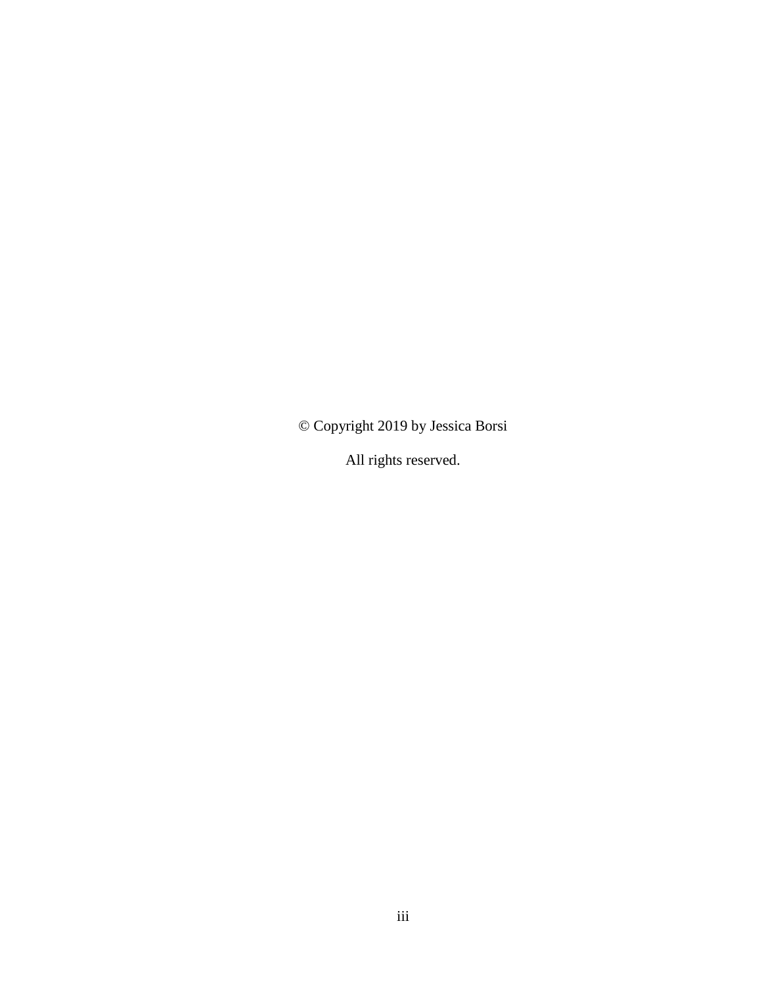© Copyright 2019 by Jessica Borsi

All rights reserved.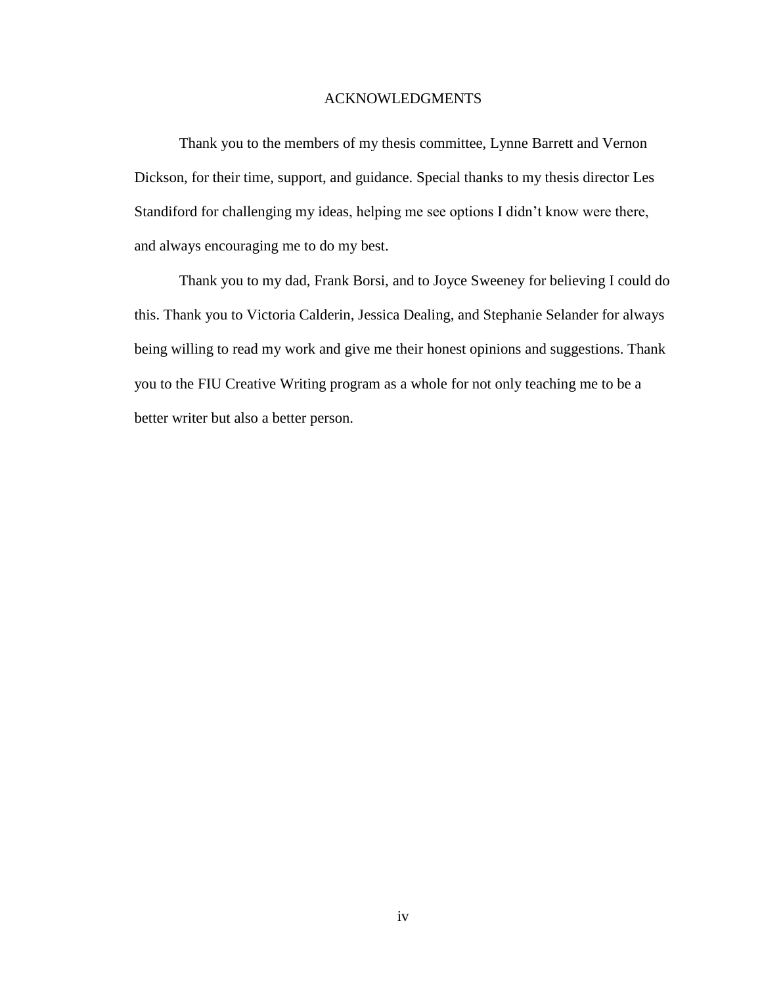#### ACKNOWLEDGMENTS

Thank you to the members of my thesis committee, Lynne Barrett and Vernon Dickson, for their time, support, and guidance. Special thanks to my thesis director Les Standiford for challenging my ideas, helping me see options I didn't know were there, and always encouraging me to do my best.

Thank you to my dad, Frank Borsi, and to Joyce Sweeney for believing I could do this. Thank you to Victoria Calderin, Jessica Dealing, and Stephanie Selander for always being willing to read my work and give me their honest opinions and suggestions. Thank you to the FIU Creative Writing program as a whole for not only teaching me to be a better writer but also a better person.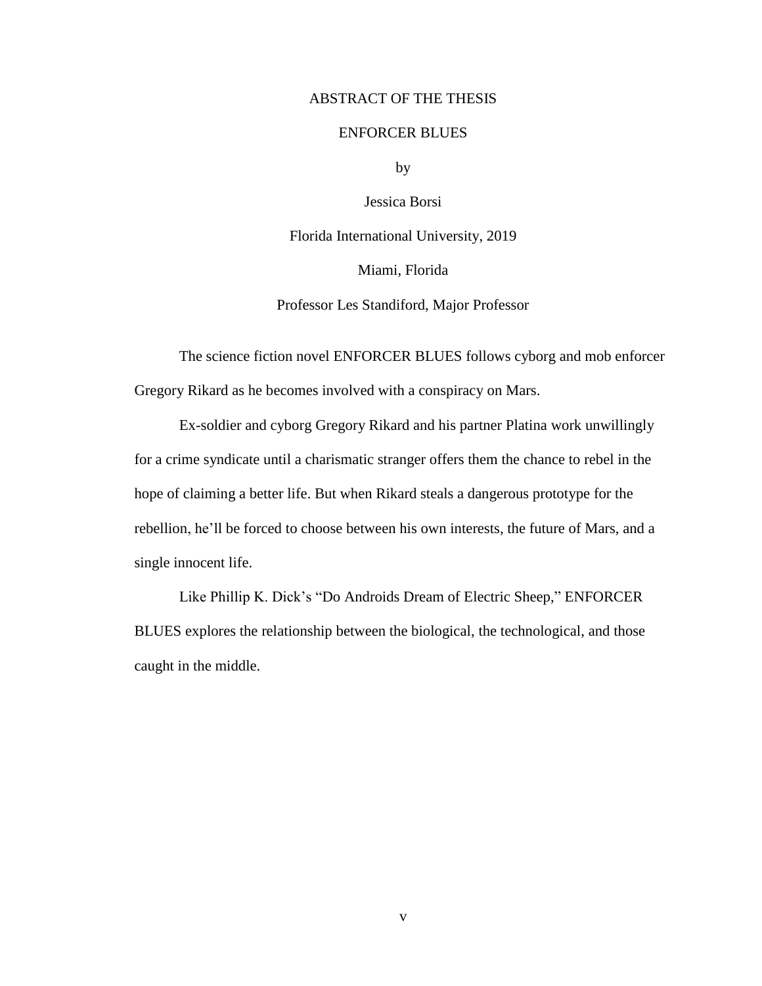### ABSTRACT OF THE THESIS

### ENFORCER BLUES

by

Jessica Borsi

Florida International University, 2019

Miami, Florida

Professor Les Standiford, Major Professor

The science fiction novel ENFORCER BLUES follows cyborg and mob enforcer Gregory Rikard as he becomes involved with a conspiracy on Mars.

Ex-soldier and cyborg Gregory Rikard and his partner Platina work unwillingly for a crime syndicate until a charismatic stranger offers them the chance to rebel in the hope of claiming a better life. But when Rikard steals a dangerous prototype for the rebellion, he'll be forced to choose between his own interests, the future of Mars, and a single innocent life.

Like Phillip K. Dick's "Do Androids Dream of Electric Sheep," ENFORCER BLUES explores the relationship between the biological, the technological, and those caught in the middle.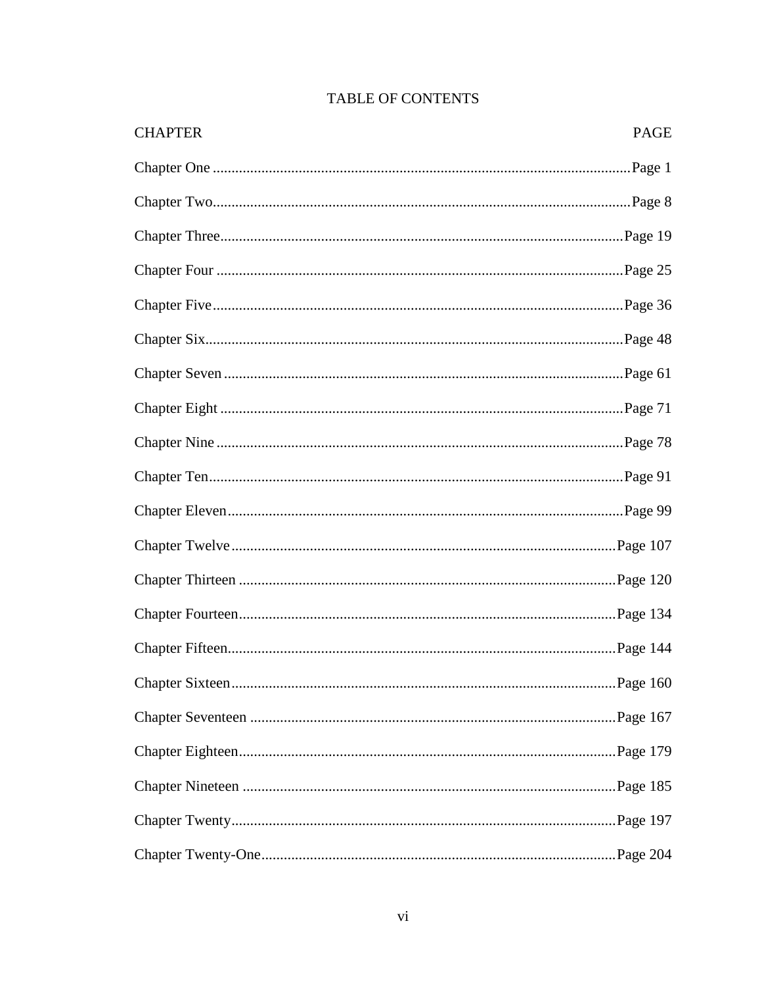| <b>CHAPTER</b> | PAGE |
|----------------|------|
|                |      |
|                |      |
|                |      |
|                |      |
|                |      |
|                |      |
|                |      |
|                |      |
|                |      |
|                |      |
|                |      |
|                |      |
|                |      |
|                |      |
|                |      |
|                |      |
|                |      |
|                |      |
|                |      |
|                |      |
|                |      |

# TABLE OF CONTENTS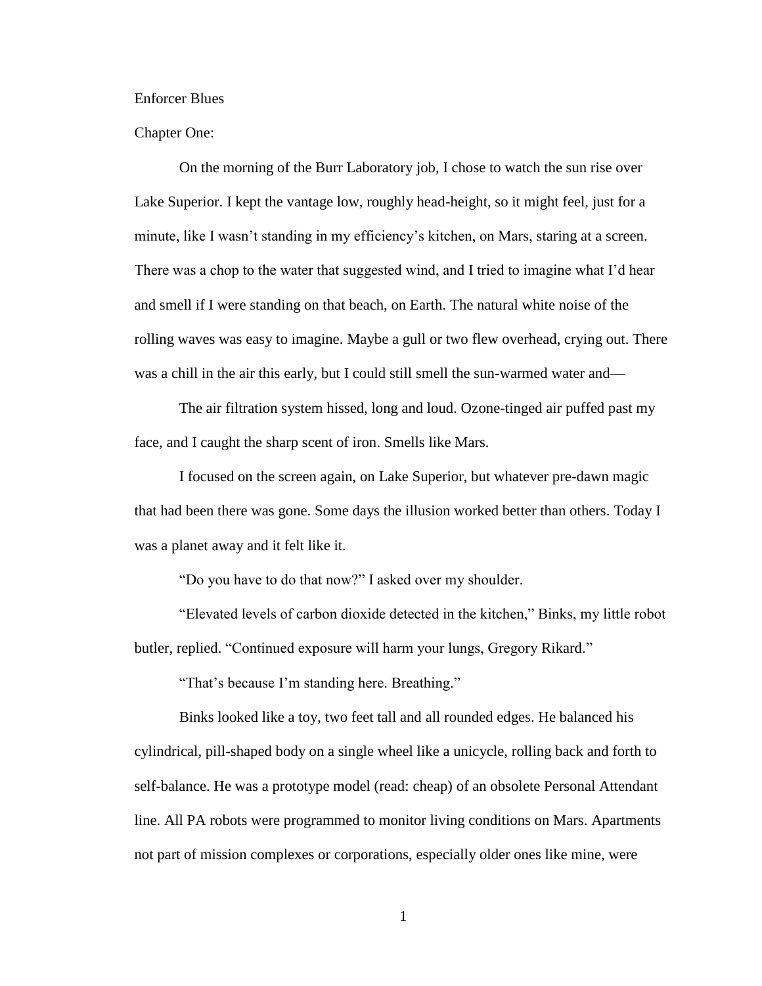Enforcer Blues

Chapter One:

On the morning of the Burr Laboratory job, I chose to watch the sun rise over Lake Superior. I kept the vantage low, roughly head-height, so it might feel, just for a minute, like I wasn't standing in my efficiency's kitchen, on Mars, staring at a screen. There was a chop to the water that suggested wind, and I tried to imagine what I'd hear and smell if I were standing on that beach, on Earth. The natural white noise of the rolling waves was easy to imagine. Maybe a gull or two flew overhead, crying out. There was a chill in the air this early, but I could still smell the sun-warmed water and—

The air filtration system hissed, long and loud. Ozone-tinged air puffed past my face, and I caught the sharp scent of iron. Smells like Mars.

I focused on the screen again, on Lake Superior, but whatever pre-dawn magic that had been there was gone. Some days the illusion worked better than others. Today I was a planet away and it felt like it.

"Do you have to do that now?" I asked over my shoulder.

"Elevated levels of carbon dioxide detected in the kitchen," Binks, my little robot butler, replied. "Continued exposure will harm your lungs, Gregory Rikard."

"That's because I'm standing here. Breathing."

Binks looked like a toy, two feet tall and all rounded edges. He balanced his cylindrical, pill-shaped body on a single wheel like a unicycle, rolling back and forth to self-balance. He was a prototype model (read: cheap) of an obsolete Personal Attendant line. All PA robots were programmed to monitor living conditions on Mars. Apartments not part of mission complexes or corporations, especially older ones like mine, were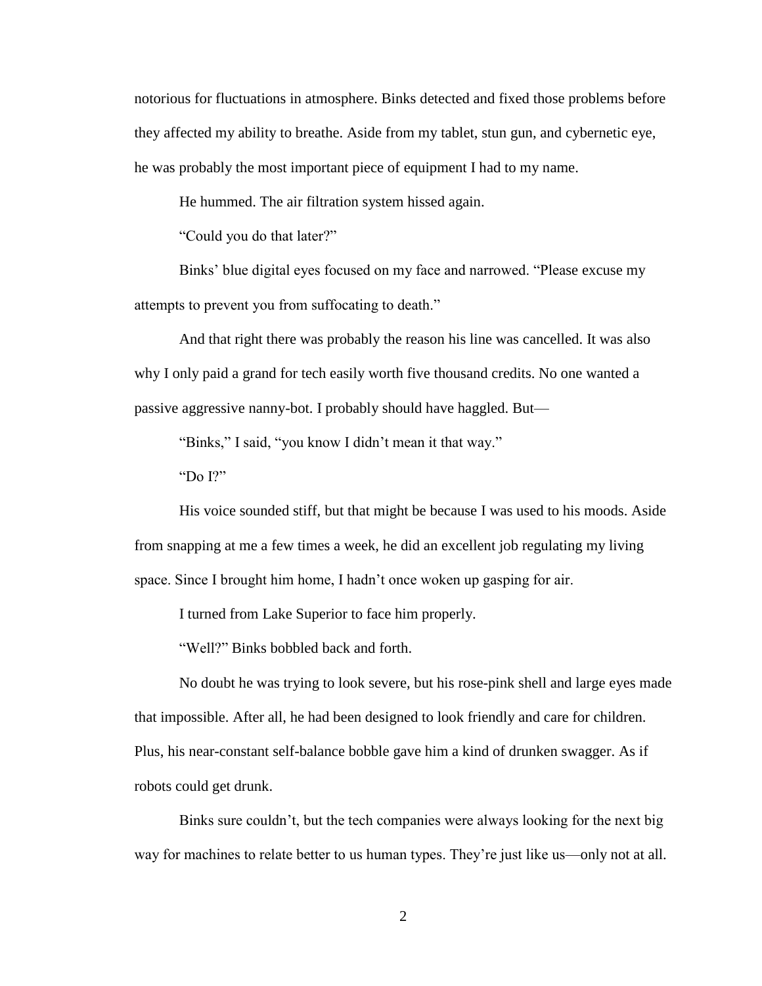notorious for fluctuations in atmosphere. Binks detected and fixed those problems before they affected my ability to breathe. Aside from my tablet, stun gun, and cybernetic eye, he was probably the most important piece of equipment I had to my name.

He hummed. The air filtration system hissed again.

"Could you do that later?"

Binks' blue digital eyes focused on my face and narrowed. "Please excuse my attempts to prevent you from suffocating to death."

And that right there was probably the reason his line was cancelled. It was also why I only paid a grand for tech easily worth five thousand credits. No one wanted a passive aggressive nanny-bot. I probably should have haggled. But—

"Binks," I said, "you know I didn't mean it that way."

"Do I?"

His voice sounded stiff, but that might be because I was used to his moods. Aside from snapping at me a few times a week, he did an excellent job regulating my living space. Since I brought him home, I hadn't once woken up gasping for air.

I turned from Lake Superior to face him properly.

"Well?" Binks bobbled back and forth.

No doubt he was trying to look severe, but his rose-pink shell and large eyes made that impossible. After all, he had been designed to look friendly and care for children. Plus, his near-constant self-balance bobble gave him a kind of drunken swagger. As if robots could get drunk.

Binks sure couldn't, but the tech companies were always looking for the next big way for machines to relate better to us human types. They're just like us—only not at all.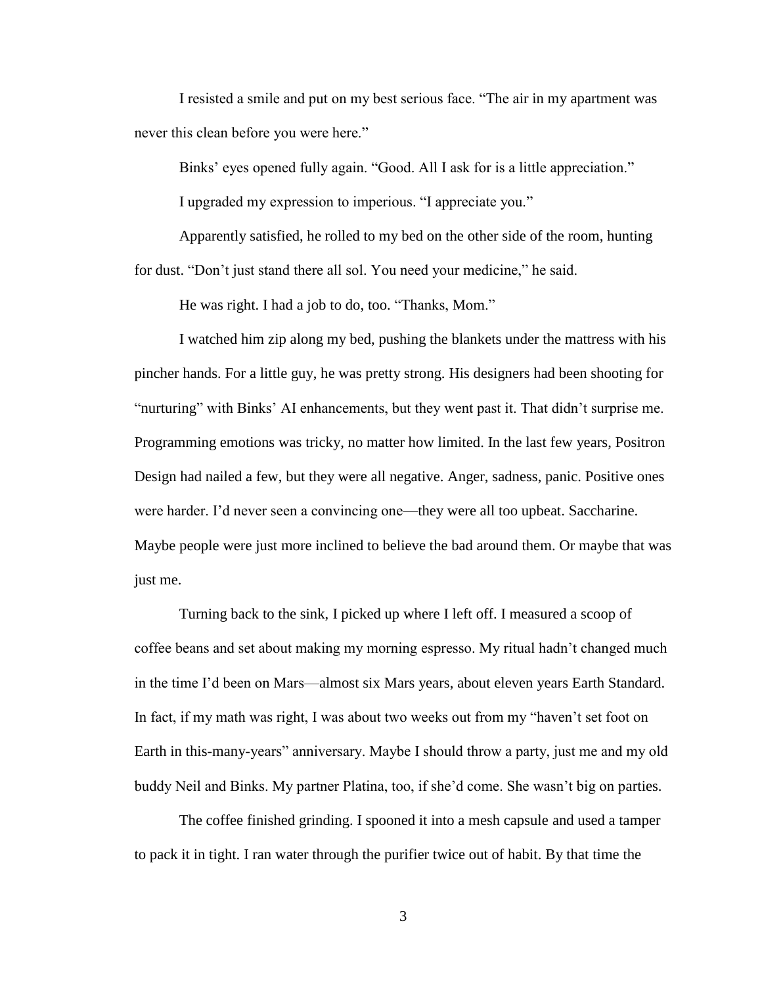I resisted a smile and put on my best serious face. "The air in my apartment was never this clean before you were here."

Binks' eyes opened fully again. "Good. All I ask for is a little appreciation."

I upgraded my expression to imperious. "I appreciate you."

Apparently satisfied, he rolled to my bed on the other side of the room, hunting for dust. "Don't just stand there all sol. You need your medicine," he said.

He was right. I had a job to do, too. "Thanks, Mom."

I watched him zip along my bed, pushing the blankets under the mattress with his pincher hands. For a little guy, he was pretty strong. His designers had been shooting for "nurturing" with Binks' AI enhancements, but they went past it. That didn't surprise me. Programming emotions was tricky, no matter how limited. In the last few years, Positron Design had nailed a few, but they were all negative. Anger, sadness, panic. Positive ones were harder. I'd never seen a convincing one—they were all too upbeat. Saccharine. Maybe people were just more inclined to believe the bad around them. Or maybe that was just me.

Turning back to the sink, I picked up where I left off. I measured a scoop of coffee beans and set about making my morning espresso. My ritual hadn't changed much in the time I'd been on Mars—almost six Mars years, about eleven years Earth Standard. In fact, if my math was right, I was about two weeks out from my "haven't set foot on Earth in this-many-years" anniversary. Maybe I should throw a party, just me and my old buddy Neil and Binks. My partner Platina, too, if she'd come. She wasn't big on parties.

The coffee finished grinding. I spooned it into a mesh capsule and used a tamper to pack it in tight. I ran water through the purifier twice out of habit. By that time the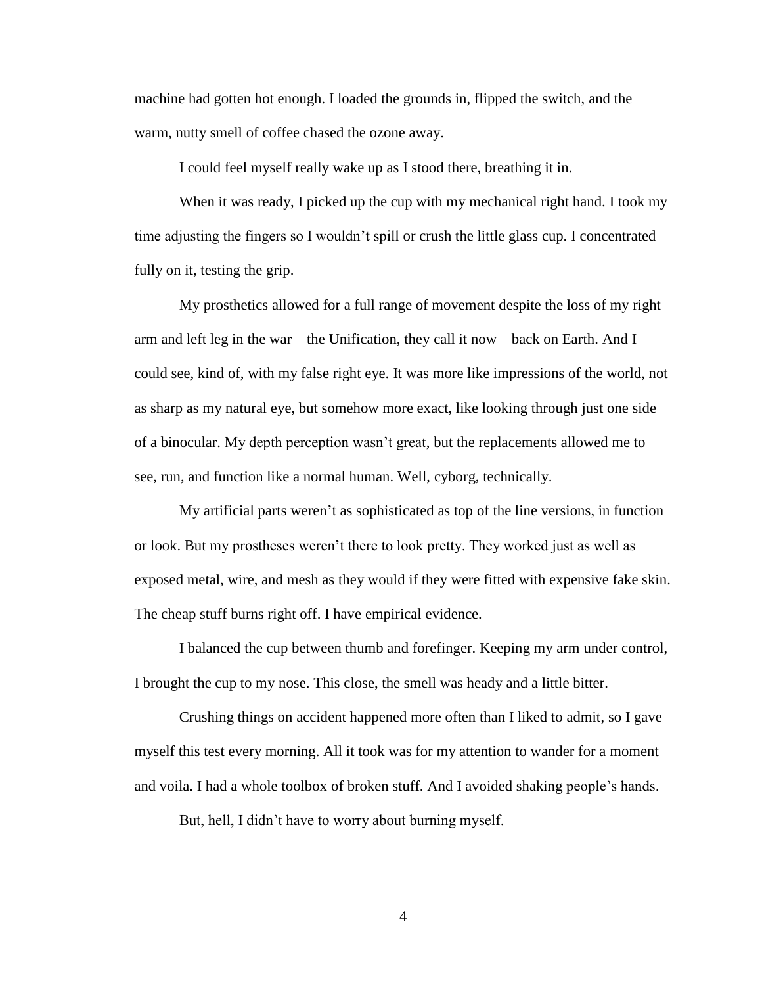machine had gotten hot enough. I loaded the grounds in, flipped the switch, and the warm, nutty smell of coffee chased the ozone away.

I could feel myself really wake up as I stood there, breathing it in.

When it was ready, I picked up the cup with my mechanical right hand. I took my time adjusting the fingers so I wouldn't spill or crush the little glass cup. I concentrated fully on it, testing the grip.

My prosthetics allowed for a full range of movement despite the loss of my right arm and left leg in the war—the Unification, they call it now—back on Earth. And I could see, kind of, with my false right eye. It was more like impressions of the world, not as sharp as my natural eye, but somehow more exact, like looking through just one side of a binocular. My depth perception wasn't great, but the replacements allowed me to see, run, and function like a normal human. Well, cyborg, technically.

My artificial parts weren't as sophisticated as top of the line versions, in function or look. But my prostheses weren't there to look pretty. They worked just as well as exposed metal, wire, and mesh as they would if they were fitted with expensive fake skin. The cheap stuff burns right off. I have empirical evidence.

I balanced the cup between thumb and forefinger. Keeping my arm under control, I brought the cup to my nose. This close, the smell was heady and a little bitter.

Crushing things on accident happened more often than I liked to admit, so I gave myself this test every morning. All it took was for my attention to wander for a moment and voila. I had a whole toolbox of broken stuff. And I avoided shaking people's hands.

But, hell, I didn't have to worry about burning myself.